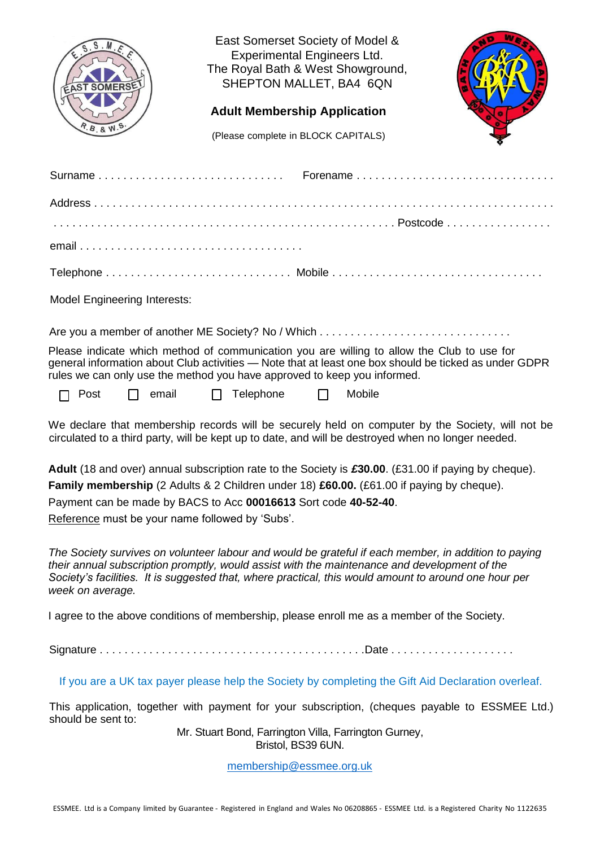

East Somerset Society of Model & Experimental Engineers Ltd. The Royal Bath & West Showground, SHEPTON MALLET, BA4 6QN

## **Adult Membership Application**

(Please complete in BLOCK CAPITALS)

| <b>Model Engineering Interests:</b>                                                                                                                                    |                                                                                                       |
|------------------------------------------------------------------------------------------------------------------------------------------------------------------------|-------------------------------------------------------------------------------------------------------|
|                                                                                                                                                                        |                                                                                                       |
| Please indicate which method of communication you are willing to allow the Club to use for<br>rules we can only use the method you have approved to keep you informed. | general information about Club activities — Note that at least one box should be ticked as under GDPR |
| $\Box$ Post $\Box$ email $\Box$ Telephone $\Box$ Mobile                                                                                                                |                                                                                                       |
|                                                                                                                                                                        | We declare that membership records will be securely held on computer by the Society, will not be      |

We declare that membership records will be securely held on computer by the Society, will not be circulated to a third party, will be kept up to date, and will be destroyed when no longer needed.

**Adult** (18 and over) annual subscription rate to the Society is *£***30.00**. (£31.00 if paying by cheque).

**Family membership** (2 Adults & 2 Children under 18) **£60.00.** (£61.00 if paying by cheque).

Payment can be made by BACS to Acc **00016613** Sort code **40-52-40**.

Reference must be your name followed by 'Subs'.

*The Society survives on volunteer labour and would be grateful if each member, in addition to paying their annual subscription promptly, would assist with the maintenance and development of the Society's facilities. It is suggested that, where practical, this would amount to around one hour per week on average.*

I agree to the above conditions of membership, please enroll me as a member of the Society.

Signature . . . . . . . . . . . . . . . . . . . . . . . . . . . . . . . . . . . . . . . . . . .Date . . . . . . . . . . . . . . . . . . . .

If you are a UK tax payer please help the Society by completing the Gift Aid Declaration overleaf.

This application, together with payment for your subscription, (cheques payable to ESSMEE Ltd.) should be sent to:

Mr. Stuart Bond, Farrington Villa, Farrington Gurney, Bristol, BS39 6UN.

[membership@essmee.org.uk](mailto:membership@essmee.org.uk)